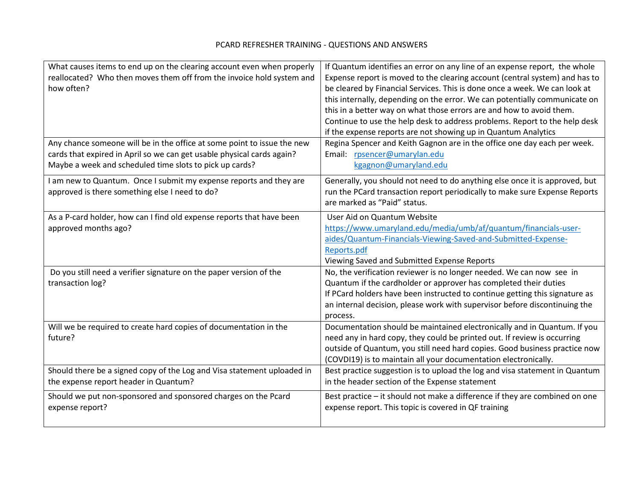## PCARD REFRESHER TRAINING - QUESTIONS AND ANSWERS

| What causes items to end up on the clearing account even when properly<br>reallocated? Who then moves them off from the invoice hold system and<br>how often?<br>Any chance someone will be in the office at some point to issue the new | If Quantum identifies an error on any line of an expense report, the whole<br>Expense report is moved to the clearing account (central system) and has to<br>be cleared by Financial Services. This is done once a week. We can look at<br>this internally, depending on the error. We can potentially communicate on<br>this in a better way on what those errors are and how to avoid them.<br>Continue to use the help desk to address problems. Report to the help desk<br>if the expense reports are not showing up in Quantum Analytics<br>Regina Spencer and Keith Gagnon are in the office one day each per week. |
|------------------------------------------------------------------------------------------------------------------------------------------------------------------------------------------------------------------------------------------|---------------------------------------------------------------------------------------------------------------------------------------------------------------------------------------------------------------------------------------------------------------------------------------------------------------------------------------------------------------------------------------------------------------------------------------------------------------------------------------------------------------------------------------------------------------------------------------------------------------------------|
| cards that expired in April so we can get usable physical cards again?<br>Maybe a week and scheduled time slots to pick up cards?                                                                                                        | Email: rpsencer@umarylan.edu<br>kgagnon@umaryland.edu                                                                                                                                                                                                                                                                                                                                                                                                                                                                                                                                                                     |
| I am new to Quantum. Once I submit my expense reports and they are<br>approved is there something else I need to do?                                                                                                                     | Generally, you should not need to do anything else once it is approved, but<br>run the PCard transaction report periodically to make sure Expense Reports<br>are marked as "Paid" status.                                                                                                                                                                                                                                                                                                                                                                                                                                 |
| As a P-card holder, how can I find old expense reports that have been<br>approved months ago?                                                                                                                                            | User Aid on Quantum Website<br>https://www.umaryland.edu/media/umb/af/quantum/financials-user-<br>aides/Quantum-Financials-Viewing-Saved-and-Submitted-Expense-<br>Reports.pdf<br>Viewing Saved and Submitted Expense Reports                                                                                                                                                                                                                                                                                                                                                                                             |
| Do you still need a verifier signature on the paper version of the<br>transaction log?                                                                                                                                                   | No, the verification reviewer is no longer needed. We can now see in<br>Quantum if the cardholder or approver has completed their duties<br>If PCard holders have been instructed to continue getting this signature as<br>an internal decision, please work with supervisor before discontinuing the<br>process.                                                                                                                                                                                                                                                                                                         |
| Will we be required to create hard copies of documentation in the<br>future?                                                                                                                                                             | Documentation should be maintained electronically and in Quantum. If you<br>need any in hard copy, they could be printed out. If review is occurring<br>outside of Quantum, you still need hard copies. Good business practice now<br>(COVDI19) is to maintain all your documentation electronically.                                                                                                                                                                                                                                                                                                                     |
| Should there be a signed copy of the Log and Visa statement uploaded in<br>the expense report header in Quantum?                                                                                                                         | Best practice suggestion is to upload the log and visa statement in Quantum<br>in the header section of the Expense statement                                                                                                                                                                                                                                                                                                                                                                                                                                                                                             |
| Should we put non-sponsored and sponsored charges on the Pcard<br>expense report?                                                                                                                                                        | Best practice - it should not make a difference if they are combined on one<br>expense report. This topic is covered in QF training                                                                                                                                                                                                                                                                                                                                                                                                                                                                                       |